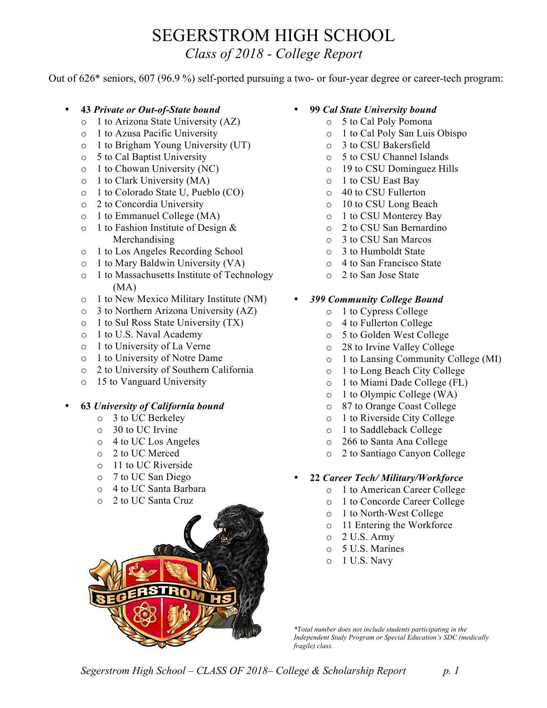## SEGERSTROM HIGH SCHOOL

*Class of 2018 - College Report*

Out of 626\* seniors, 607 (96.9 %) self-ported pursuing a two- or four-year degree or career-tech program:

- **43** *Private or Out-of-State bound*
	- o 1 to Arizona State University (AZ)
	- o 1 to Azusa Pacific University
	- o 1 to Brigham Young University (UT)
	- o 5 to Cal Baptist University
	- o 1 to Chowan University (NC)
	- o 1 to Clark University (MA)
	- o 1 to Colorado State U, Pueblo (CO)
	- o 2 to Concordia University
	- o 1 to Emmanuel College (MA)
	- $\circ$  1 to Fashion Institute of Design & Merchandising
	- o 1 to Los Angeles Recording School
	- o 1 to Mary Baldwin University (VA)
	- o 1 to Massachusetts Institute of Technology (MA)
	- o 1 to New Mexico Military Institute (NM)
	- o 3 to Northern Arizona University (AZ)
	- o 1 to Sul Ross State University (TX)
	- o 1 to U.S. Naval Academy
	- o 1 to University of La Verne
	- o 1 to University of Notre Dame
	- o 2 to University of Southern California
	- o 15 to Vanguard University
- **63** *University of California bound*
	- o 3 to UC Berkeley
	- o 30 to UC Irvine
	- o 4 to UC Los Angeles
	- o 2 to UC Merced
	- o 11 to UC Riverside
	- o 7 to UC San Diego
	- o 4 to UC Santa Barbara
	- o 2 to UC Santa Cruz



- **99** *Cal State University bound*
	- o 5 to Cal Poly Pomona
	- o 1 to Cal Poly San Luis Obispo
	- o 3 to CSU Bakersfield
	- o 5 to CSU Channel Islands
	- o 19 to CSU Dominguez Hills
	- o 1 to CSU East Bay
	- o 40 to CSU Fullerton
	- o 10 to CSU Long Beach
	- o 1 to CSU Monterey Bay
	- o 2 to CSU San Bernardino
	- o 3 to CSU San Marcos
	- o 3 to Humboldt State
	- o 4 to San Francisco State
	- o 2 to San Jose State

## • *399 Community College Bound*

- o 1 to Cypress College
- o 4 to Fullerton College
- o 5 to Golden West College
- o 28 to Irvine Valley College
- o 1 to Lansing Community College (MI)
- o 1 to Long Beach City College
- o 1 to Miami Dade College (FL)
- o 1 to Olympic College (WA)
- o 87 to Orange Coast College
- o 1 to Riverside City College
- o 1 to Saddleback College
- o 266 to Santa Ana College
- o 2 to Santiago Canyon College

## • **22** *Career Tech/ Military/Workforce*

- o 1 to American Career College
- o 1 to Concorde Career College
- o 1 to North-West College
- o 11 Entering the Workforce
- o 2 U.S. Army
- o 5 U.S. Marines
- o 1 U.S. Navy

*\*Total number does not include students participating in the Independent Study Program or Special Education's SDC (medically fragile) class.*

*Segerstrom High School – CLASS OF 2018– College & Scholarship Report p. 1*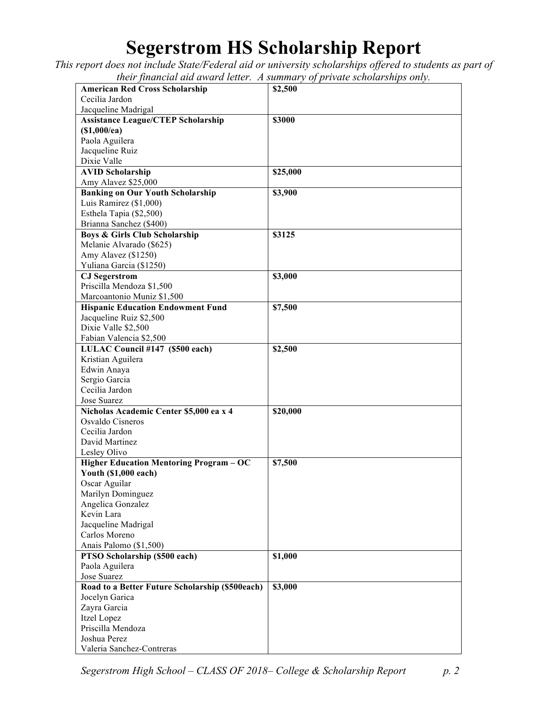## **Segerstrom HS Scholarship Report**

*This report does not include State/Federal aid or university scholarships offered to students as part of their financial aid award letter. A summary of private scholarships only.*

| <b>American Red Cross Scholarship</b>           | \$2,500  |
|-------------------------------------------------|----------|
| Cecilia Jardon                                  |          |
| Jacqueline Madrigal                             |          |
| <b>Assistance League/CTEP Scholarship</b>       | \$3000   |
| (\$1,000/ea)                                    |          |
| Paola Aguilera                                  |          |
| Jacqueline Ruiz                                 |          |
| Dixie Valle                                     |          |
| <b>AVID Scholarship</b>                         | \$25,000 |
| Amy Alavez \$25,000                             |          |
| <b>Banking on Our Youth Scholarship</b>         | \$3,900  |
| Luis Ramirez $(\$1,000)$                        |          |
|                                                 |          |
| Esthela Tapia (\$2,500)                         |          |
| Brianna Sanchez (\$400)                         |          |
| Boys & Girls Club Scholarship                   | \$3125   |
| Melanie Alvarado (\$625)                        |          |
| Amy Alavez (\$1250)                             |          |
| Yuliana Garcia (\$1250)                         |          |
| <b>CJ</b> Segerstrom                            | \$3,000  |
| Priscilla Mendoza \$1,500                       |          |
| Marcoantonio Muniz \$1,500                      |          |
| <b>Hispanic Education Endowment Fund</b>        | \$7,500  |
| Jacqueline Ruiz \$2,500                         |          |
| Dixie Valle \$2,500                             |          |
| Fabian Valencia \$2,500                         |          |
| LULAC Council #147 (\$500 each)                 | \$2,500  |
|                                                 |          |
| Kristian Aguilera                               |          |
| Edwin Anaya                                     |          |
| Sergio Garcia                                   |          |
| Cecilia Jardon                                  |          |
| Jose Suarez                                     |          |
| Nicholas Academic Center \$5,000 ea x 4         | \$20,000 |
| Osvaldo Cisneros                                |          |
| Cecilia Jardon                                  |          |
| David Martinez                                  |          |
| Lesley Olivo                                    |          |
| <b>Higher Education Mentoring Program - OC</b>  | \$7,500  |
| Youth (\$1,000 each)                            |          |
| Oscar Aguilar                                   |          |
| Marilyn Dominguez                               |          |
| Angelica Gonzalez                               |          |
| Kevin Lara                                      |          |
| Jacqueline Madrigal                             |          |
| Carlos Moreno                                   |          |
|                                                 |          |
| Anais Palomo (\$1,500)                          |          |
| PTSO Scholarship (\$500 each)                   | \$1,000  |
| Paola Aguilera                                  |          |
| Jose Suarez                                     |          |
| Road to a Better Future Scholarship (\$500each) | \$3,000  |
| Jocelyn Garica                                  |          |
| Zayra Garcia                                    |          |
| Itzel Lopez                                     |          |
| Priscilla Mendoza                               |          |
| Joshua Perez                                    |          |
| Valeria Sanchez-Contreras                       |          |